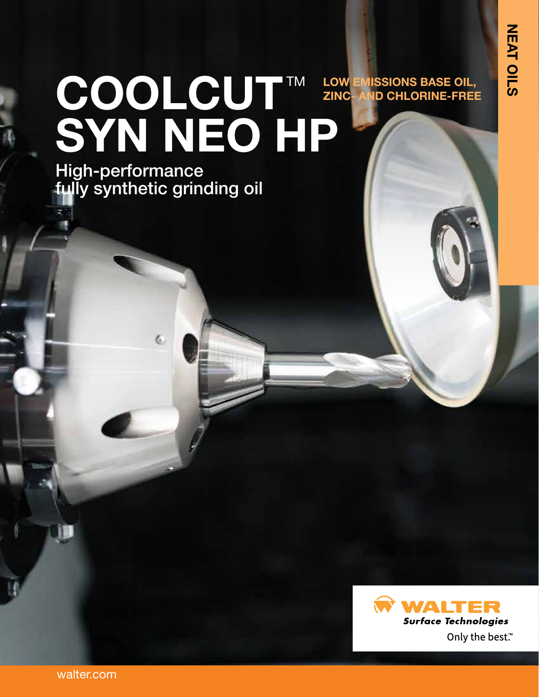# COOLCUT™ **SYN NEO HP LOW EMISSIONS BASE OIL, ID CHLORINE-FREE**

High-performance fully synthetic grinding oil